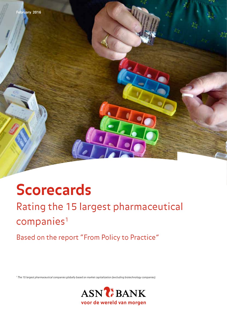

# **Scorecards**

Rating the 15 largest pharmaceutical companies<sup>1</sup>

Based on the report "From Policy to Practice"

*<sup>1</sup> The 15 largest pharmaceutical companies globally based on market capitalization (excluding biotechnology companies).* 

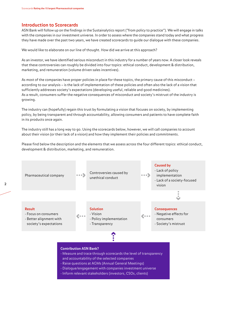#### **Introduction to Scorecards**

ASN Bank will follow up on the findings in the Sustainalytics report ("from policy to practice"). We will engage in talks with the companies in our investment universe. In order to assess where the companies stand today and what progress they have made over the past two years, we have created scorecards to guide our dialogue with these companies.

We would like to elaborate on our line of thought. How did we arrive at this approach?

As an investor, we have identified serious misconduct in this industry for a number of years now. A closer look reveals that these controversies can roughly be divided into four topics: ethical conduct, development & distribution, marketing, and remuneration (volume driven sales incentives).

As most of the companies have proper policies in place for these topics, the primary cause of this misconduct – according to our analysis – is the lack of implementation of these policies and often also the lack of a vision that sufficiently addresses society's expectations (developing useful, reliable and good medicines). As a result, consumers suffer the negative consequences of misconduct and society's mistrust of the industry is growing.

The industry can (hopefully) regain this trust by formulating a vision that focuses on society, by implementing policy, by being transparent and through accountability, allowing consumers and patients to have complete faith in its products once again.

The industry still has a long way to go. Using the scorecards below, however, we will call companies to account about their vision (or their lack of a vision) and how they implement their policies and commitments.

Please find below the description and the elements that we assess across the four different topics: ethical conduct, development & distribution, marketing, and remuneration.

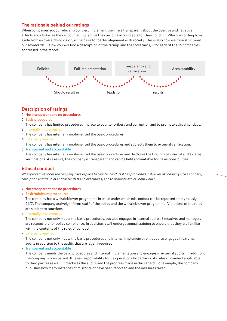#### **The rationale behind our ratings**

When companies adopt (relevant) policies, implement them, are transparent about the positive and negative effects and obstacles they encounter in practice they become accountable for their conduct. Which according to us, aside from an overarching vision, is the basis for better alignment with society. This is also how we have structured our scorecards. Below you will find a description of the ratings and the scorecards, 1 for each of the 15 companies addressed in the report.



#### **Description of ratings**

- 1) Not transparent and no procedures
- 2) Basic procedures

The company has limited procedures in place to counter bribery and corruption and to promote ethical conduct.

3) Internally implemented

The company has internally implemented the basic procedures.

4) Externally verified

The company has internally implemented the basic procedures and subjects them to external verification.

5) Transparent and accountable

 The company has internally implemented the basic procedures and discloses the findings of internal and external verifications. As a result, the company is transparent and can be held accountable for its responsibilities.

#### **Ethical conduct**

*What procedures does the company have in place to counter conduct it has prohibited in its rules of conduct (such as bribery, corruption and fraud of and/or by staff and executives) and to promote ethical behaviour?* 

#### • Not transparent and no procedures

• Basic/minimum procedures

 The company has a whistleblower programme in place under which misconduct can be reported anonymously 24/7. The company actively informs staff of the policy and the whistleblower programme. Violations of the rules are subject to sanctions.

• Internally implemented

 The company not only meets the basic procedures, but also engages in internal audits. Executives and managers are responsible for policy compliance. In addition, staff undergo annual training to ensure that they are familiar with the contents of the rules of conduct.

• Externally verified

 The company not only meets the basic procedures and internal implementation, but also engages in external audits in addition to the audits that are legally required.

• Transparent and accountable

 The company meets the basic procedures and internal implementation and engages in external audits. In addition, the company is transparent. It takes responsibility for its operations by declaring its rules of conduct applicable to third parties as well. It discloses the audits and the progress made in this regard. For example, the company publishes how many instances of misconduct have been reported and the measures taken.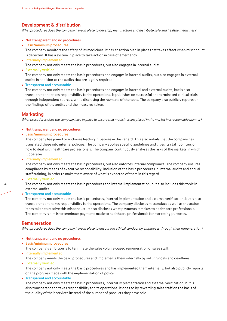#### **Development & distribution**

*What procedures does the company have in place to develop, manufacture and distribute safe and healthy medicines?*

- Not transparent and no procedures
- Basic/minimum procedures

 The company monitors the safety of its medicines. It has an action plan in place that takes effect when misconduct is detected. It has a system in place to take action in case of emergency.

• Internally implemented

The company not only meets the basic procedures, but also engages in internal audits.

• Externally verified

 The company not only meets the basic procedures and engages in internal audits, but also engages in external audits in addition to the audits that are legally required.

• Transparent and accountable

 The company not only meets the basic procedures and engages in internal and external audits, but is also transparent and takes responsibility for its operations. It publishes on successful and terminated clinical trials through independent sources, while disclosing the raw data of the tests. The company also publicly reports on the findings of the audits and the measures taken.

#### **Marketing**

*What procedures does the company have in place to ensure that medicines are placed in the market in a responsible manner?*

- Not transparent and no procedures
- Basic/minimum procedures

 The company has joined or endorses leading initiatives in this regard. This also entails that the company has translated these into internal policies. The company applies specific guidelines and gives its staff pointers on how to deal with healthcare professionals. The company continuously analyses the risks of the markets in which it operates.

• Internally implemented

 The company not only meets the basic procedures, but also enforces internal compliance. The company ensures compliance by means of executive responsibility, inclusion of the basic procedures in internal audits and annual staff training, in order to make them aware of what is expected of them in this regard.

• Externally verified

 The company not only meets the basic procedures and internal implementation, but also includes this topic in external audits.

• Transparent and accountable

 The company not only meets the basic procedures, internal implementation and external verification, but is also transparent and takes responsibility for its operations. The company discloses misconduct as well as the action it has taken to resolve this misconduct. It also discloses what payments it makes to healthcare professionals. The company's aim is to terminate payments made to healthcare professionals for marketing purposes.

#### **Remuneration**

*What procedures does the company have in place to encourage ethical conduct by employees through their remuneration?*

- Not transparent and no procedures
- Basic/minimum procedures

The company's ambition is to terminate the sales volume-based remuneration of sales staff.

- Internally implemented The company meets the basic procedures and implements them internally by setting goals and deadlines.
- Externally verified

 The company not only meets the basic procedures and has implemented them internally, but also publicly reports on the progress made with the implementation of policy.

• Transparent and accountable

 The company not only meets the basic procedures, internal implementation and external verification, but is also transparent and takes responsibility for its operations. It does so by rewarding sales staff on the basis of the quality of their services instead of the number of products they have sold.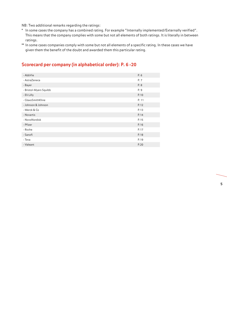NB: Two additional remarks regarding the ratings:

- \* In some cases the company has a combined rating. For example "Internally implemented/Externally verified". This means that the company complies with some but not all elements of both ratings. It is literally in between ratings.
- \*\* In some cases companies comply with some but not all elements of a specific rating. In these cases we have given them the benefit of the doubt and awarded them this particular rating.

#### **Scorecard per company (in alphabetical order): P. 6 -20**

| - AbbVie               | P. 6  |
|------------------------|-------|
| - AstraZeneca          | P. 7  |
| - Bayer                | P.8   |
| - Bristol-Myers Squibb | P. 9  |
| - Eli Lilly            | P.10  |
| - GlaxoSmithKline      | P. 11 |
| - Johnson & Johnson    | P.12  |
| - Merck & Co           | P.13  |
| - Novartis             | P.14  |
| - NovoNordisk          | P.15  |
| - Pfizer               | P.16  |
| - Roche                | P.17  |
| - Sanofi               | P.18  |
| - Teva                 | P.19  |
| - Valeant              | P.20  |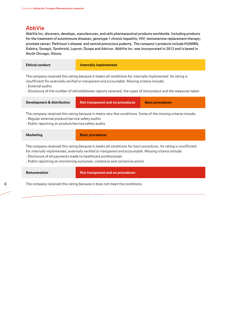#### **AbbVie**

AbbVie Inc. discovers, develops, manufactures, and sells pharmaceutical products worldwide. Including products for the treatment of autoimmune diseases; genotype 1 chronic hepatitis; HIV; testosterone replacement therapy; prostate cancer; Parkinson's disease and central precocious puberty. The company's products include HUMIRA, Kaletra, Synagis, Synthroid, Lupron, Duopa and Advicor. AbbVie Inc. was incorporated in 2012 and is based in North Chicago, Illinois.

| <b>Ethical conduct</b> | Internally implemented |
|------------------------|------------------------|
|                        |                        |

The company received this rating because it meets all conditions for *internally implemented*. Its rating is insufficient for *externally verified* or *transparent and accountable*. Missing criteria include:

- External audits

- Disclosure of the number of whistleblower reports received, the types of misconduct and the measures taken

| Development & distribution | Not transparent and no procedures | <b>Basic procedures</b> |
|----------------------------|-----------------------------------|-------------------------|
|                            |                                   |                         |

The company received this rating because it meets very few conditions. Some of the missing criteria include: - Regular external product/service safety audits

- Public reporting on product/service safety audits

| <b>Marketing</b>                                                                                                                                                                                                                                                                                                                                                               | <b>Basic procedures</b> |  |
|--------------------------------------------------------------------------------------------------------------------------------------------------------------------------------------------------------------------------------------------------------------------------------------------------------------------------------------------------------------------------------|-------------------------|--|
| The company received this rating because it meets all conditions for basic procedures. Its rating is insufficient<br>for internally implemented, externally verified or transparent and accountable. Missing criteria include:<br>- Disclosure of all payments made to healthcare professionals<br>- Public reporting on monitoring outcomes, violations and corrective action |                         |  |

**Remuneration Not transparent and no procedures**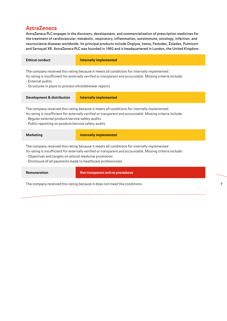### **AstraZeneca**

AstraZeneca PLC engages in the discovery, development, and commercialization of prescription medicines for the treatment of cardiovascular, metabolic, respiratory, inflammation, autoimmune, oncology, infection, and neuroscience diseases worldwide. Its principal products include Onglyza, Iressa, Faslodex, Zoladex, Pulmicort and Seroquel XR. AstraZeneca PLC was founded in 1992 and is headquartered in London, the United Kingdom.

| Ethical conduct                                        | Internally implemented                                                                                       |
|--------------------------------------------------------|--------------------------------------------------------------------------------------------------------------|
| - External audits                                      | The company received this rating because it meets all conditions for <i>internally implemented</i> .         |
| - Structures in place to process whistleblower reports | Its rating is insufficient for externally verified or transparent and accountable. Missing criteria include: |

| Development & distribution                                                                           | Internally implemented |  |
|------------------------------------------------------------------------------------------------------|------------------------|--|
| The company received this rating because it meets all conditions for <i>internally implemented</i> . |                        |  |

Its rating is insufficient for *externally verified* or *transparent and accountable*. Missing criteria include:

- Regular external product/service safety audits

- Public reporting on product/service safety audits

| Marketing                                                                                                    | Internally implemented |  |
|--------------------------------------------------------------------------------------------------------------|------------------------|--|
| The company received this rating because it meets all conditions for <i>internally implemented</i> .         |                        |  |
| Its rating is insufficient for externally verified or transparent and accountable. Missing criteria include: |                        |  |

- Objectives and targets on ethical medicine promotion

- Disclosure of all payments made to healthcare professionals

#### **Remuneration Not transparent and no procedures**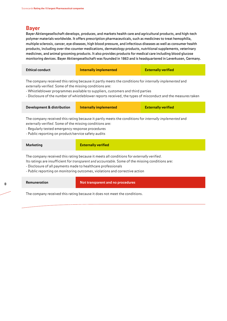### **Bayer**

Bayer Aktiengesellschaft develops, produces, and markets health care and agricultural products, and high-tech polymer materials worldwide. It offers prescription pharmaceuticals, such as medicines to treat hemophilia, multiple sclerosis, cancer, eye diseases, high blood pressure, and infectious diseases as well as consumer health products, including over-the-counter medications, dermatology products, nutritional supplements, veterinary medicines, and animal grooming products. It also provides products for medical care including blood glucose monitoring devices. Bayer Aktiengesellschaft was founded in 1863 and is headquartered in Leverkusen, Germany.

| <b>Ethical conduct</b>                                                                                                                                                                                                                                                                                                                                                      | <b>Internally implemented</b>     | <b>Externally verified</b> |  |
|-----------------------------------------------------------------------------------------------------------------------------------------------------------------------------------------------------------------------------------------------------------------------------------------------------------------------------------------------------------------------------|-----------------------------------|----------------------------|--|
| The company received this rating because it partly meets the conditions for <i>internally implemented</i> and<br>externally verified. Some of the missing conditions are:<br>- Whistleblower programmes available to suppliers, customers and third parties<br>- Disclosure of the number of whistleblower reports received, the types of misconduct and the measures taken |                                   |                            |  |
| <b>Development &amp; distribution</b>                                                                                                                                                                                                                                                                                                                                       | <b>Internally implemented</b>     | <b>Externally verified</b> |  |
| The company received this rating because it partly meets the conditions for internally implemented and<br>externally verified. Some of the missing conditions are:<br>- Regularly tested emergency response procedures<br>- Public reporting on product/service safety audits                                                                                               |                                   |                            |  |
| <b>Marketing</b>                                                                                                                                                                                                                                                                                                                                                            | <b>Externally verified</b>        |                            |  |
| The company received this rating because it meets all conditions for externally verified.<br>Its ratings are insufficient for transparent and accountable. Some of the missing conditions are:<br>- Disclosure of all payments made to healthcare professionals<br>- Public reporting on monitoring outcomes, violations and corrective action                              |                                   |                            |  |
| Remuneration                                                                                                                                                                                                                                                                                                                                                                | Not transparent and no procedures |                            |  |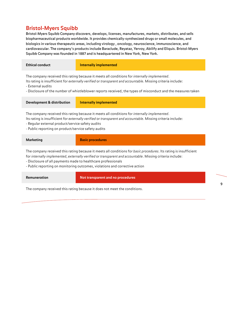### **Bristol-Myers Squibb**

Bristol-Myers Squibb Company discovers, develops, licenses, manufactures, markets, distributes, and sells biopharmaceutical products worldwide. It provides chemically-synthesized drugs or small molecules, and biologics in various therapeutic areas, including virology , oncology, neuroscience, immunoscience, and cardiovascular. The company's products include Baraclude, Reyataz, Yervoy, Abilify and Eliquis. Bristol-Myers Squibb Company was founded in 1887 and is headquartered in New York, New York.

| <b>Ethical conduct</b>                                                                                                                                                                                                                                                                                                                                    | <b>Internally implemented</b> |  |  |
|-----------------------------------------------------------------------------------------------------------------------------------------------------------------------------------------------------------------------------------------------------------------------------------------------------------------------------------------------------------|-------------------------------|--|--|
| The company received this rating because it meets all conditions for <i>internally implemented</i> .<br>Its rating is insufficient for externally verified or transparent and accountable. Missing criteria include:<br>- External audits<br>- Disclosure of the number of whistleblower reports received, the types of misconduct and the measures taken |                               |  |  |
| Development & distribution                                                                                                                                                                                                                                                                                                                                | Internally implemented        |  |  |
| The company received this rating because it meets all conditions for internally implemented.<br>Its rating is insufficient for externally verified or transparent and accountable. Missing criteria include:<br>- Regular external product/service safety audits<br>- Public reporting on product/service safety audits                                   |                               |  |  |

| <b>Marketing</b>                                                                                                  | <b>Basic procedures</b> |
|-------------------------------------------------------------------------------------------------------------------|-------------------------|
| The company received this rating because it meets all conditions for basic procedures. Its rating is insufficient |                         |

for *internally implemented*, *externally verified* or *transparent and accountable*. Missing criteria include:

- Disclosure of all payments made to healthcare professionals
- Public reporting on monitoring outcomes, violations and corrective action

| <b>Remuneration</b> |
|---------------------|
|---------------------|

**Not transparent and no procedures**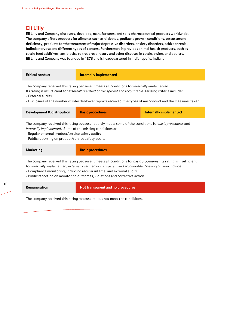### **Eli Lilly**

Eli Lilly and Company discovers, develops, manufactures, and sells pharmaceutical products worldwide. The company offers products for ailments such as diabetes, pediatric growth conditions, testosterone deficiency, products for the treatment of major depressive disorders, anxiety disorders, schizophrenia, bulimia nervosa and different types of cancers. Furthermore it provides animal health products, such as cattle feed additives, antibiotics to treat respiratory and other diseases in cattle, swine, and poultry. Eli Lilly and Company was founded in 1876 and is headquartered in Indianapolis, Indiana.

| <b>Ethical conduct</b>                                                                                                                                                                                                                                                                                                                                                                   | <b>Internally implemented</b> |                               |
|------------------------------------------------------------------------------------------------------------------------------------------------------------------------------------------------------------------------------------------------------------------------------------------------------------------------------------------------------------------------------------------|-------------------------------|-------------------------------|
| The company received this rating because it meets all conditions for internally implemented.<br>Its rating is insufficient for externally verified or transparent and accountable. Missing criteria include:<br>- External audits<br>- Disclosure of the number of whistleblower reports received, the types of misconduct and the measures taken                                        |                               |                               |
| Development & distribution                                                                                                                                                                                                                                                                                                                                                               | <b>Basic procedures</b>       | <b>Internally implemented</b> |
| The company received this rating because it partly meets some of the conditions for basic procedures and<br>internally implemented. Some of the missing conditions are:<br>- Regular external product/service safety audits<br>- Public reporting on product/service safety audits                                                                                                       |                               |                               |
| <b>Marketing</b>                                                                                                                                                                                                                                                                                                                                                                         | <b>Basic procedures</b>       |                               |
| The company received this rating because it meets all conditions for basic procedures. Its rating is insufficient<br>for internally implemented, externally verified or transparent and accountable. Missing criteria include:<br>- Compliance monitoring, including regular internal and external audits<br>- Public reporting on monitoring outcomes, violations and corrective action |                               |                               |

**Remuneration Not transparent and no procedures**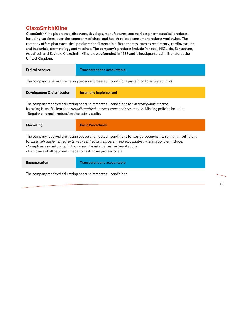## **GlaxoSmithKline**

GlaxoSmithKline plc creates, discovers, develops, manufactures, and markets pharmaceutical products, including vaccines, over-the-counter medicines, and health-related consumer products worldwide. The company offers pharmaceutical products for ailments in different areas, such as respiratory, cardiovascular, anti bacterials, dermatology and vaccines. The company's products include Panadol, NiQuitin, Sensodyne, Aquafresh and Zovirax. GlaxoSmithKline plc was founded in 1935 and is headquartered in Brentford, the United Kingdom.

| <b>Ethical conduct</b> | <b>Transparent and accountable</b>                                                              |
|------------------------|-------------------------------------------------------------------------------------------------|
|                        | The company received this rating because it meets all conditions pertaining to ethical conduct. |
|                        |                                                                                                 |

| <b>Development &amp; distribution</b> | Internally implemented |
|---------------------------------------|------------------------|
|                                       |                        |

The company received this rating because it meets all conditions for *internally implemented*. Its rating is insufficient for *externally verified* or *transparent and accountable*. Missing policies include: - Regular external product/service safety audits

| Marketing                                                     | <b>Basic Procedures</b>                                                                                                                                                                                                                                                                                   |
|---------------------------------------------------------------|-----------------------------------------------------------------------------------------------------------------------------------------------------------------------------------------------------------------------------------------------------------------------------------------------------------|
| - Disclosure of all payments made to healthcare professionals | The company received this rating because it meets all conditions for basic procedures. Its rating is insufficient<br>for internally implemented, externally verified or transparent and accountable. Missing policies include:<br>- Compliance monitoring, including regular internal and external audits |

**Remuneration Constrainer Transparent and accountable** 

The company received this rating because it meets all conditions.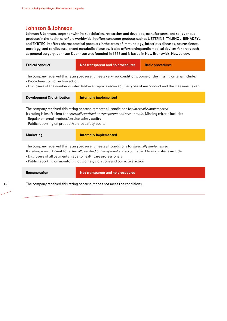#### **Johnson & Johnson**

Johnson & Johnson, together with its subsidiaries, researches and develops, manufactures, and sells various products in the health care field worldwide. It offers consumer products such as LISTERINE, TYLENOL, BENADRYL and ZYRTEC. It offers pharmaceutical products in the areas of immunology, infectious diseases, neuroscience, oncology, and cardiovascular and metabolic diseases. It also offers orthopaedic medical devices for areas such as general surgery. Johnson & Johnson was founded in 1885 and is based in New Brunswick, New Jersey.

| <b>Ethical conduct</b>                                                                                                                                                                                                                                                                                                                                       | Not transparent and no procedures | <b>Basic procedures</b> |
|--------------------------------------------------------------------------------------------------------------------------------------------------------------------------------------------------------------------------------------------------------------------------------------------------------------------------------------------------------------|-----------------------------------|-------------------------|
| The company received this rating because it meets very few conditions. Some of the missing criteria include:<br>- Procedures for corrective action<br>- Disclosure of the number of whistleblower reports received, the types of misconduct and the measures taken                                                                                           |                                   |                         |
| <b>Development &amp; distribution</b>                                                                                                                                                                                                                                                                                                                        | <b>Internally implemented</b>     |                         |
| The company received this rating because it meets all conditions for internally implemented.<br>Its rating is insufficient for externally verified or transparent and accountable. Missing criteria include:<br>- Regular external product/service safety audits<br>- Public reporting on product/service safety audits                                      |                                   |                         |
| <b>Marketing</b>                                                                                                                                                                                                                                                                                                                                             | <b>Internally implemented</b>     |                         |
| The company received this rating because it meets all conditions for internally implemented.<br>Its rating is insufficient for externally verified or transparent and accountable. Missing criteria include:<br>- Disclosure of all payments made to healthcare professionals<br>- Public reporting on monitoring outcomes, violations and corrective action |                                   |                         |
| Remuneration                                                                                                                                                                                                                                                                                                                                                 | Not transparent and no procedures |                         |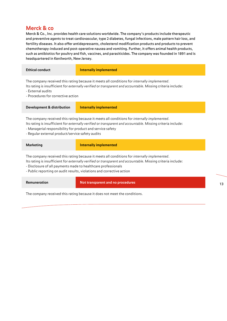### **Merck & co**

Merck & Co., Inc. provides health care solutions worldwide. The company's products include therapeutic and preventive agents to treat cardiovascular, type 2 diabetes, fungal infections, male pattern hair loss, and fertility diseases. It also offer antidepressants, cholesterol modification products and products to prevent chemotherapy-induced and post-operative nausea and vomiting. Further, it offers animal health products, such as antibiotics for poultry and fish, vaccines, and parasiticides. The company was founded in 1891 and is headquartered in Kenilworth, New Jersey.

| <b>Ethical conduct</b>                                                                                                                                                                                                                                                                                                                                 | <b>Internally implemented</b>                                                                                                                                                                                |  |
|--------------------------------------------------------------------------------------------------------------------------------------------------------------------------------------------------------------------------------------------------------------------------------------------------------------------------------------------------------|--------------------------------------------------------------------------------------------------------------------------------------------------------------------------------------------------------------|--|
| - External audits<br>- Procedures for corrective action                                                                                                                                                                                                                                                                                                | The company received this rating because it meets all conditions for internally implemented.<br>Its rating is insufficient for externally verified or transparent and accountable. Missing criteria include: |  |
| <b>Development &amp; distribution</b>                                                                                                                                                                                                                                                                                                                  | <b>Internally implemented</b>                                                                                                                                                                                |  |
| The company received this rating because it meets all conditions for internally implemented.<br>Its rating is insufficient for externally verified or transparent and accountable. Missing criteria include:<br>- Managerial responsibility for product and service safety<br>- Regular external product/service safety audits                         |                                                                                                                                                                                                              |  |
| <b>Marketing</b>                                                                                                                                                                                                                                                                                                                                       | <b>Internally implemented</b>                                                                                                                                                                                |  |
| The company received this rating because it meets all conditions for internally implemented.<br>Its rating is insufficient for externally verified or transparent and accountable. Missing criteria include:<br>- Disclosure of all payments made to healthcare professionals<br>- Public reporting on audit results, violations and corrective action |                                                                                                                                                                                                              |  |
| Remuneration                                                                                                                                                                                                                                                                                                                                           | Not transparent and no procedures                                                                                                                                                                            |  |

The company received this rating because it does not meet the conditions.

13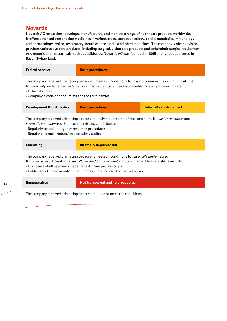### **Novartis**

Novartis AG researches, develops, manufactures, and markets a range of healthcare products worldwide. It offers patented prescription medicines in various areas, such as oncology, cardio-metabolic, immunology and dermatology, retina, respiratory, neuroscience, and established medicines. The company's Alcon division provides various eye care products, including surgical, vision care products and ophthalmic surgical equipment. And generic pharmaceuticals such as antibiotics. Novartis AG was founded in 1895 and is headquartered in Basel, Switzerland.

| <b>Ethical conduct</b>                                                                                                                                                                                                                                                                                      | <b>Basic procedures</b>       |                        |
|-------------------------------------------------------------------------------------------------------------------------------------------------------------------------------------------------------------------------------------------------------------------------------------------------------------|-------------------------------|------------------------|
| The company received this rating because it meets all conditions for basic procedures. Its rating is insufficient<br>for internally implemented, externally verified or transparent and accountable. Missing criteria include:<br>- External audits<br>- Company's code of conduct extends to third parties |                               |                        |
| Development & distribution                                                                                                                                                                                                                                                                                  | <b>Basic procedures</b>       | Internally implemented |
| The company received this rating because it partly meets some of the conditions for basic procedures and<br>internally implemented. Some of the missing conditions are:<br>- Regularly tested emergency response procedures<br>- Regular external product/service safety audits                             |                               |                        |
| <b>Marketing</b>                                                                                                                                                                                                                                                                                            | <b>Internally implemented</b> |                        |
| The company received this rating because it meets all conditions for <i>internally implemented</i> .                                                                                                                                                                                                        |                               |                        |

Its rating is insufficient for *externally verified* or *transparent and accountable*. Missing criteria include:

- Disclosure of all payments made to healthcare professionals

- Public reporting on monitoring outcomes, violations and corrective action

| Remunera |
|----------|
|----------|

**Remuneration Remuneration Remuneration Remuneration Remuneration Remuneration Remuneration Remuneration Remuneration Remuneration Remuneration Remuneration Remuneration Remuneration Remuneration Remuneration Remuneration**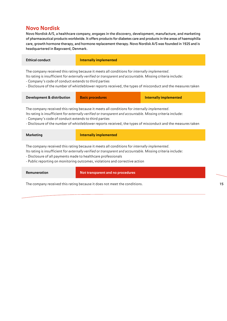### **Novo Nordisk**

Novo Nordisk A/S, a healthcare company, engages in the discovery, development, manufacture, and marketing of pharmaceutical products worldwide. It offers products for diabetes care and products in the areas of haemophilia care, growth hormone therapy, and hormone replacement therapy. Novo Nordisk A/S was founded in 1925 and is headquartered in Bagsvaerd, Denmark.

| <b>Ethical conduct</b>                                                                                    | Internally implemented                                                                                                                                                                                               |
|-----------------------------------------------------------------------------------------------------------|----------------------------------------------------------------------------------------------------------------------------------------------------------------------------------------------------------------------|
|                                                                                                           | The company received this rating because it meets all conditions for <i>internally implemented</i> .<br>Its rating is insufficient for externally verified or transparent and accountable. Missing criteria include: |
| - Company's code of conduct extends to third parties                                                      |                                                                                                                                                                                                                      |
| Disclosure of the number of whistleblower reports received the types of misconduct and the measures taken |                                                                                                                                                                                                                      |

Disclosure of the number of whistleblower reports received, the types of misconduct and the measures taken

| Development & distribution | <b>Basic procedures</b> | <b>Internally implemented</b> |
|----------------------------|-------------------------|-------------------------------|
|                            |                         |                               |

The company received this rating because it meets all conditions for *internally implemented*.

Its rating is insufficient for *externally verified* or *transparent and accountable*. Missing criteria include:

- Company's code of conduct extends to third parties

- Disclosure of the number of whistleblower reports received, the types of misconduct and the measures taken

| <b>Marketing</b>                                              | <b>Internally implemented</b>                                                                                                                                                                                                                                                                       |
|---------------------------------------------------------------|-----------------------------------------------------------------------------------------------------------------------------------------------------------------------------------------------------------------------------------------------------------------------------------------------------|
| - Disclosure of all payments made to healthcare professionals | The company received this rating because it meets all conditions for <i>internally implemented</i> .<br>Its rating is insufficient for externally verified or transparent and accountable. Missing criteria include:<br>- Public reporting on monitoring outcomes, violations and corrective action |
| Remuneration                                                  | Not transparent and no procedures                                                                                                                                                                                                                                                                   |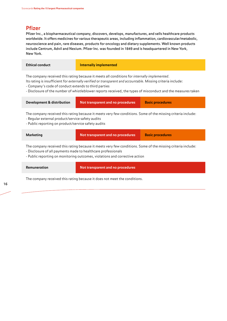### **Pfizer**

Pfizer Inc., a biopharmaceutical company, discovers, develops, manufactures, and sells healthcare products worldwide. It offers medicines for various therapeutic areas, including inflammation, cardiovascular/metabolic, neuroscience and pain, rare diseases, products for oncology and dietary supplements. Well known products include Centrum, Advil and Nexium. Pfizer Inc. was founded in 1849 and is headquartered in New York, New York.

| <b>Ethical conduct</b>                                                                                                                                                                                                                                                                                                                                                               | <b>Internally implemented</b>     |                         |
|--------------------------------------------------------------------------------------------------------------------------------------------------------------------------------------------------------------------------------------------------------------------------------------------------------------------------------------------------------------------------------------|-----------------------------------|-------------------------|
| The company received this rating because it meets all conditions for internally implemented.<br>Its rating is insufficient for externally verified or transparent and accountable. Missing criteria include:<br>- Company's code of conduct extends to third parties<br>- Disclosure of the number of whistleblower reports received, the types of misconduct and the measures taken |                                   |                         |
| <b>Development &amp; distribution</b>                                                                                                                                                                                                                                                                                                                                                | Not transparent and no procedures | <b>Basic procedures</b> |
| The company received this rating because it meets very few conditions. Some of the missing criteria include:<br>- Regular external product/service safety audits<br>- Public reporting on product/service safety audits                                                                                                                                                              |                                   |                         |
| <b>Marketing</b>                                                                                                                                                                                                                                                                                                                                                                     | Not transparent and no procedures | <b>Basic procedures</b> |
| The company received this rating because it meets very few conditions. Some of the missing criteria include:<br>- Disclosure of all payments made to healthcare professionals<br>- Public reporting on monitoring outcomes, violations and corrective action                                                                                                                         |                                   |                         |
| Remuneration                                                                                                                                                                                                                                                                                                                                                                         | Not transparent and no procedures |                         |
| The company received this rating because it does not meet the conditions.                                                                                                                                                                                                                                                                                                            |                                   |                         |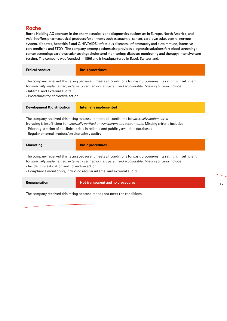### **Roche**

Roche Holding AG operates in the pharmaceuticals and diagnostics businesses in Europe, North America, and Asia. It offers pharmaceutical products for ailments such as anaemia, cancer, cardiovascular, central nervous system, diabetes, hepatitis B and C, HIV/AIDS, infectious diseases, inflammatory and autoimmune, intensive care medicine and STD's. The company amongst others also provides diagnostic solutions for: blood screening; cancer screening; cardiovascular testing; cholesterol monitoring; diabetes monitoring and therapy; intensive care testing. The company was founded in 1896 and is headquartered in Basel, Switzerland.

| <b>Ethical conduct</b>                                                                                                                                                                                                                                                                                                                                       | <b>Basis procedures</b>                                                                                                                                                                                                        |  |
|--------------------------------------------------------------------------------------------------------------------------------------------------------------------------------------------------------------------------------------------------------------------------------------------------------------------------------------------------------------|--------------------------------------------------------------------------------------------------------------------------------------------------------------------------------------------------------------------------------|--|
| - Internal and external audits<br>- Procedures for corrective action                                                                                                                                                                                                                                                                                         | The company received this rating because it meets all conditions for basic procedures. Its rating is insufficient<br>for internally implemented, externally verified or transparent and accountable. Missing criteria include: |  |
| <b>Development &amp; distribution</b>                                                                                                                                                                                                                                                                                                                        | <b>Internally implemented</b>                                                                                                                                                                                                  |  |
| The company received this rating because it meets all conditions for internally implemented.<br>Its rating is insufficient for externally verified or transparent and accountable. Missing criteria include:<br>- Prior registration of all clinical trials in reliable and publicly available databases<br>- Regular external product/service safety audits |                                                                                                                                                                                                                                |  |
| <b>Marketing</b>                                                                                                                                                                                                                                                                                                                                             | <b>Basic procedures</b>                                                                                                                                                                                                        |  |
| The company received this rating because it meets all conditions for basic procedures. Its rating is insufficient<br>for internally implemented, externally verified or transparent and accountable. Missing criteria include:<br>- Incident investigation and corrective action<br>- Compliance monitoring, including regular internal and external audits  |                                                                                                                                                                                                                                |  |
| Remuneration                                                                                                                                                                                                                                                                                                                                                 | Not transparent and no procedures                                                                                                                                                                                              |  |

The company received this rating because it does not meet the conditions.

17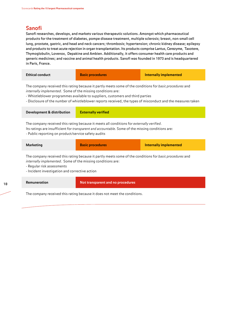### **Sanofi**

Sanofi researches, develops, and markets various therapeutic solutions. Amongst which pharmaceutical products for the treatment of diabetes, pompe disease treatment, multiple sclerosis; breast, non-small cell lung, prostate, gastric, and head and neck cancers; thrombosis; hypertension; chronic kidney disease; epilepsy and products to treat acute rejection in organ transplantation. Its products comprise Lantus, Cerezyme, Taxotere, Thymoglobulin, Lovenox, Depakine and Ambien. Additionally, it offers consumer health care products and generic medicines; and vaccine and animal health products. Sanofi was founded in 1973 and is headquartered in Paris, France.

| <b>Ethical conduct</b>                                                                                                                                                                                                                                                                                                                                                           | <b>Basic procedures</b>    | <b>Internally implemented</b> |
|----------------------------------------------------------------------------------------------------------------------------------------------------------------------------------------------------------------------------------------------------------------------------------------------------------------------------------------------------------------------------------|----------------------------|-------------------------------|
| The company received this rating because it partly meets some of the conditions for basic procedures and<br><i>internally implemented.</i> Some of the missing conditions are:<br>- Whistleblower programmes available to suppliers, customers and third parties<br>- Disclosure of the number of whistleblower reports received, the types of misconduct and the measures taken |                            |                               |
| Development & distribution                                                                                                                                                                                                                                                                                                                                                       | <b>Externally verified</b> |                               |
| The company received this rating because it meets all conditions for externally verified.<br>Its ratings are insufficient for <i>transparent and accountable</i> . Some of the missing conditions are:<br>- Public reporting on product/service safety audits                                                                                                                    |                            |                               |
| <b>Marketing</b>                                                                                                                                                                                                                                                                                                                                                                 | <b>Basic procedures</b>    | <b>Internally implemented</b> |
| The company received this rating because it partly meets some of the conditions for basic procedures and<br><i>internally implemented.</i> Some of the missing conditions are:<br>- Regular risk assessments<br>- Incident investigation and corrective action                                                                                                                   |                            |                               |

**Remuneration Not transparent and no procedures**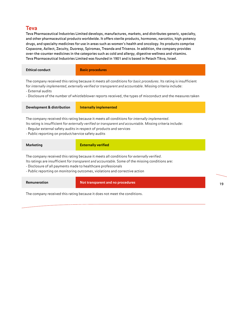### **Teva**

Teva Pharmaceutical Industries Limited develops, manufactures, markets, and distributes generic, specialty, and other pharmaceutical products worldwide. It offers sterile products, hormones, narcotics, high-potency drugs, and specialty medicines for use in areas such as women's health and oncology. Its products comprise Copaxone, Azilect, Zecuity, Duoresp, Spiromax, Treanda and Trisenox. In addition, the company provides over-the-counter medicines in the categories such as cold and allergy, digestive wellness and vitamins. Teva Pharmaceutical Industries Limited was founded in 1901 and is based in Petach Tikva, Israel.

| <b>Ethical conduct</b>                                                                                                                                                                                                                                                                                                                                              | <b>Basic procedures</b>       |  |
|---------------------------------------------------------------------------------------------------------------------------------------------------------------------------------------------------------------------------------------------------------------------------------------------------------------------------------------------------------------------|-------------------------------|--|
| The company received this rating because it meets all conditions for basic procedures. Its rating is insufficient<br>for internally implemented, externally verified or transparent and accountable. Missing criteria include:<br>- External audits<br>- Disclosure of the number of whistleblower reports received, the types of misconduct and the measures taken |                               |  |
| <b>Development &amp; distribution</b>                                                                                                                                                                                                                                                                                                                               | <b>Internally implemented</b> |  |
| The company received this rating because it meets all conditions for internally implemented.<br>Its rating is insufficient for externally verified or transparent and accountable. Missing criteria include:<br>- Regular external safety audits in respect of products and services<br>- Public reporting on product/service safety audits                         |                               |  |
| <b>Marketing</b>                                                                                                                                                                                                                                                                                                                                                    | <b>Externally verified</b>    |  |
| The company received this rating because it meets all conditions for externally verified.<br>Its ratings are insufficient for <i>transparent and accountable</i> . Some of the missing conditions are:<br>- Disclosure of all payments made to healthcare professionals<br>- Public reporting on monitoring outcomes, violations and corrective action              |                               |  |
|                                                                                                                                                                                                                                                                                                                                                                     |                               |  |

**Remuneration Not transparent and no procedures** 

The company received this rating because it does not meet the conditions.

19